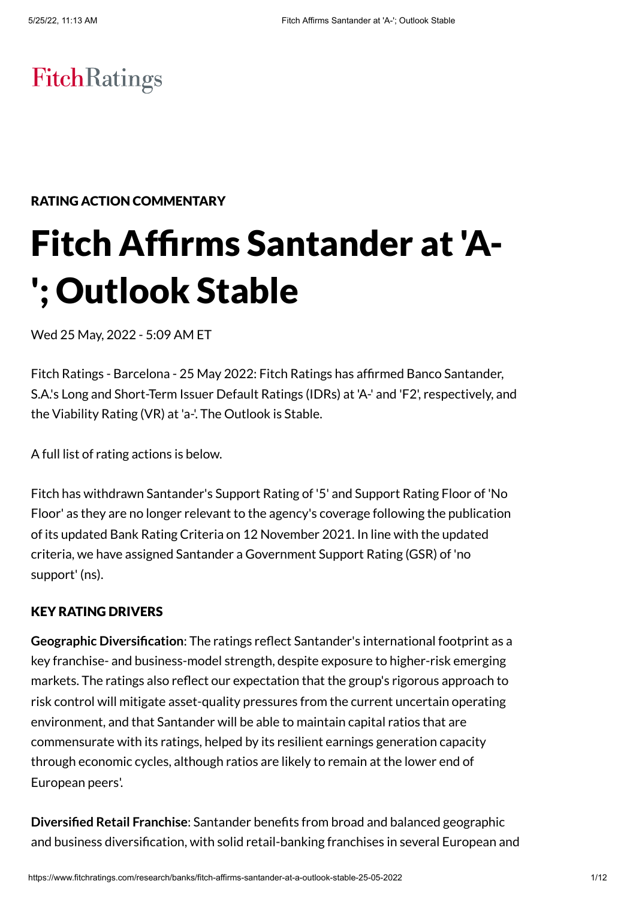# FitchRatings

# RATING ACTION COMMENTARY

# Fitch Affirms Santander at 'A- '; Outlook Stable

Wed 25 May, 2022 - 5:09 AM ET

Fitch Ratings - Barcelona - 25 May 2022: Fitch Ratings has affirmed Banco Santander, S.A.'s Long and Short-Term Issuer Default Ratings (IDRs) at 'A-' and 'F2', respectively, and the Viability Rating (VR) at 'a-'. The Outlook is Stable.

A full list of rating actions is below.

Fitch has withdrawn Santander's Support Rating of '5' and Support Rating Floor of 'No Floor' as they are no longer relevant to the agency's coverage following the publication of its updated Bank Rating Criteria on 12 November 2021. In line with the updated criteria, we have assigned Santander a Government Support Rating (GSR) of 'no support' (ns).

# KEY RATING DRIVERS

**Geographic Diversification**: The ratings reflect Santander's international footprint as a key franchise- and business-model strength, despite exposure to higher-risk emerging markets. The ratings also reflect our expectation that the group's rigorous approach to risk control will mitigate asset-quality pressures from the current uncertain operating environment, and that Santander will be able to maintain capital ratios that are commensurate with its ratings, helped by its resilient earnings generation capacity through economic cycles, although ratios are likely to remain at the lower end of European peers'.

**Diversified Retail Franchise**: Santander benefits from broad and balanced geographic and business diversification, with solid retail-banking franchises in several European and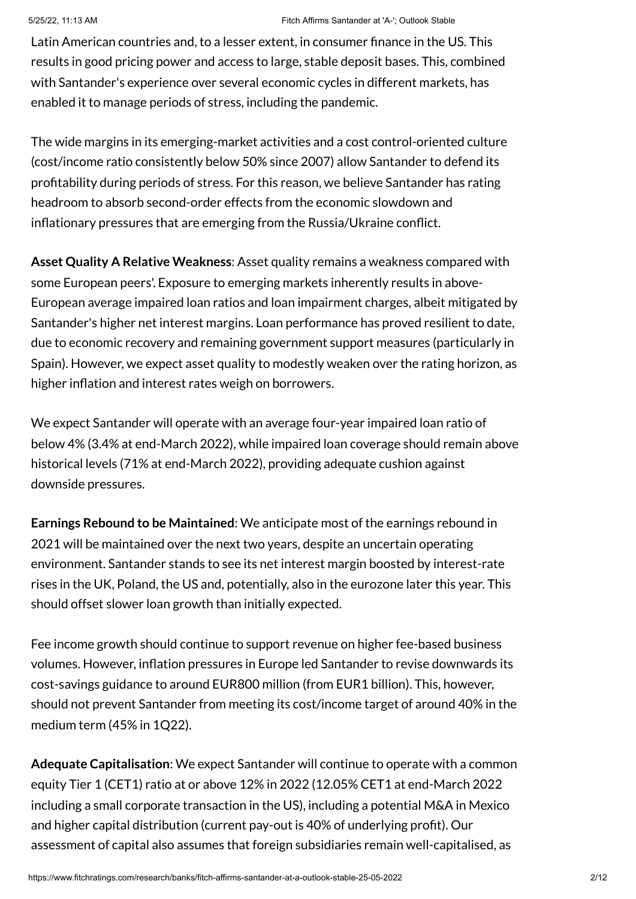Latin American countries and, to a lesser extent, in consumer finance in the US. This results in good pricing power and access to large, stable deposit bases. This, combined with Santander's experience over several economic cycles in different markets, has enabled it to manage periods of stress, including the pandemic.

The wide margins in its emerging-market activities and a cost control-oriented culture (cost/income ratio consistently below 50% since 2007) allow Santander to defend its profitability during periods of stress. For this reason, we believe Santander has rating headroom to absorb second-order effects from the economic slowdown and inflationary pressures that are emerging from the Russia/Ukraine conflict.

**Asset Quality A Relative Weakness**: Asset quality remains a weakness compared with some European peers'. Exposure to emerging markets inherently results in above-European average impaired loan ratios and loan impairment charges, albeit mitigated by Santander's higher net interest margins. Loan performance has proved resilient to date, due to economic recovery and remaining government support measures (particularly in Spain). However, we expect asset quality to modestly weaken over the rating horizon, as higher inflation and interest rates weigh on borrowers.

We expect Santander will operate with an average four-year impaired loan ratio of below 4% (3.4% at end-March 2022), while impaired loan coverage should remain above historical levels (71% at end-March 2022), providing adequate cushion against downside pressures.

**Earnings Rebound to be Maintained**: We anticipate most of the earnings rebound in 2021 will be maintained over the next two years, despite an uncertain operating environment. Santander stands to see its net interest margin boosted by interest-rate rises in the UK, Poland, the US and, potentially, also in the eurozone later this year. This should offset slower loan growth than initially expected.

Fee income growth should continue to support revenue on higher fee-based business volumes. However, inflation pressures in Europe led Santander to revise downwards its cost-savings guidance to around EUR800 million (from EUR1 billion). This, however, should not prevent Santander from meeting its cost/income target of around 40% in the medium term (45% in 1Q22).

**Adequate Capitalisation**: We expect Santander will continue to operate with a common equity Tier 1 (CET1) ratio at or above 12% in 2022 (12.05% CET1 at end-March 2022 including a small corporate transaction in the US), including a potential M&A in Mexico and higher capital distribution (current pay-out is 40% of underlying profit). Our assessment of capital also assumes that foreign subsidiaries remain well-capitalised, as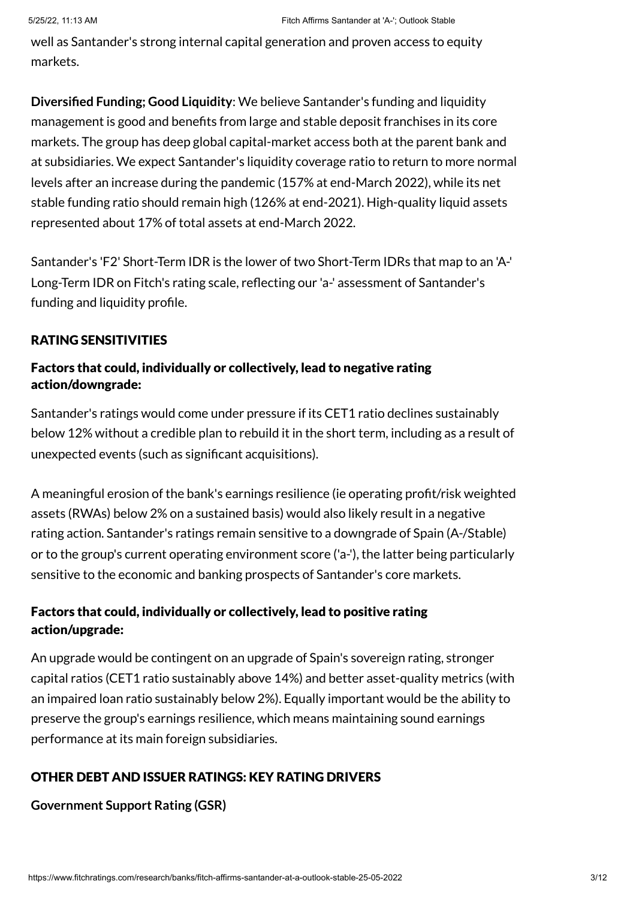well as Santander's strong internal capital generation and proven access to equity markets.

**Diversified Funding; Good Liquidity**: We believe Santander's funding and liquidity management is good and benefits from large and stable deposit franchises in its core markets. The group has deep global capital-market access both at the parent bank and at subsidiaries. We expect Santander's liquidity coverage ratio to return to more normal levels after an increase during the pandemic (157% at end-March 2022), while its net stable funding ratio should remain high (126% at end-2021). High-quality liquid assets represented about 17% of total assets at end-March 2022.

Santander's 'F2' Short-Term IDR is the lower of two Short-Term IDRs that map to an 'A-' Long-Term IDR on Fitch's rating scale, reflecting our 'a-' assessment of Santander's funding and liquidity profile.

# RATING SENSITIVITIES

# Factors that could, individually or collectively, lead to negative rating action/downgrade:

Santander's ratings would come under pressure if its CET1 ratio declines sustainably below 12% without a credible plan to rebuild it in the short term, including as a result of unexpected events (such as significant acquisitions).

A meaningful erosion of the bank's earnings resilience (ie operating profit/risk weighted assets (RWAs) below 2% on a sustained basis) would also likely result in a negative rating action. Santander's ratings remain sensitive to a downgrade of Spain (A-/Stable) or to the group's current operating environment score ('a-'), the latter being particularly sensitive to the economic and banking prospects of Santander's core markets.

# Factors that could, individually or collectively, lead to positive rating action/upgrade:

An upgrade would be contingent on an upgrade of Spain's sovereign rating, stronger capital ratios (CET1 ratio sustainably above 14%) and better asset-quality metrics (with an impaired loan ratio sustainably below 2%). Equally important would be the ability to preserve the group's earnings resilience, which means maintaining sound earnings performance at its main foreign subsidiaries.

# OTHER DEBT AND ISSUER RATINGS: KEY RATING DRIVERS

**Government Support Rating (GSR)**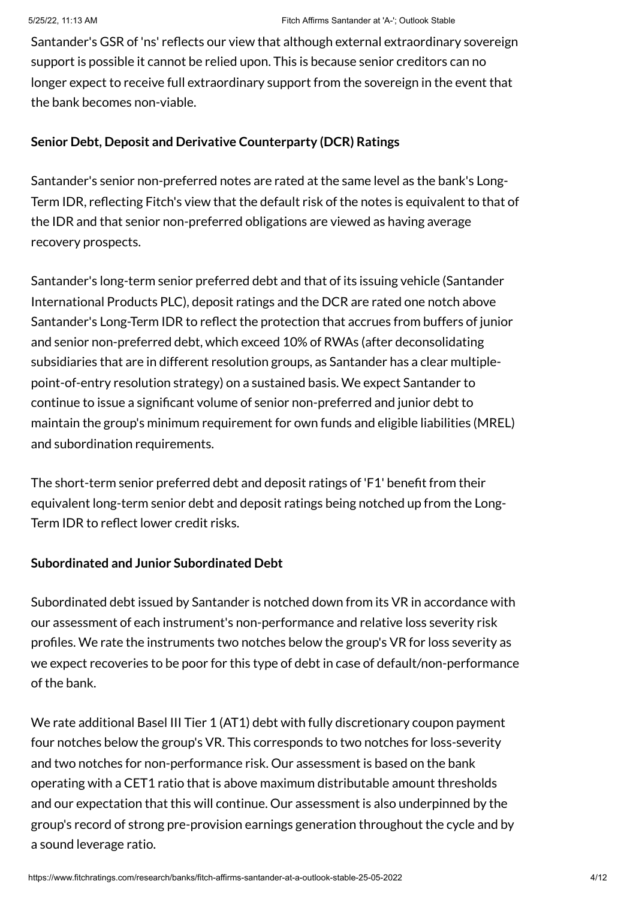Santander's GSR of 'ns' reflects our view that although external extraordinary sovereign support is possible it cannot be relied upon. This is because senior creditors can no longer expect to receive full extraordinary support from the sovereign in the event that the bank becomes non-viable.

#### **Senior Debt, Deposit and Derivative Counterparty (DCR) Ratings**

Santander's senior non-preferred notes are rated at the same level as the bank's Long-Term IDR, reflecting Fitch's view that the default risk of the notes is equivalent to that of the IDR and that senior non-preferred obligations are viewed as having average recovery prospects.

Santander's long-term senior preferred debt and that of its issuing vehicle (Santander International Products PLC), deposit ratings and the DCR are rated one notch above Santander's Long-Term IDR to reflect the protection that accrues from buffers of junior and senior non-preferred debt, which exceed 10% of RWAs (after deconsolidating subsidiaries that are in different resolution groups, as Santander has a clear multiplepoint-of-entry resolution strategy) on a sustained basis. We expect Santander to continue to issue a significant volume of senior non-preferred and junior debt to maintain the group's minimum requirement for own funds and eligible liabilities (MREL) and subordination requirements.

The short-term senior preferred debt and deposit ratings of 'F1' benefit from their equivalent long-term senior debt and deposit ratings being notched up from the Long-Term IDR to reflect lower credit risks.

#### **Subordinated and Junior Subordinated Debt**

Subordinated debt issued by Santander is notched down from its VR in accordance with our assessment of each instrument's non-performance and relative loss severity risk profiles. We rate the instruments two notches below the group's VR for loss severity as we expect recoveries to be poor for this type of debt in case of default/non-performance of the bank.

We rate additional Basel III Tier 1 (AT1) debt with fully discretionary coupon payment four notches below the group's VR. This corresponds to two notches for loss-severity and two notches for non-performance risk. Our assessment is based on the bank operating with a CET1 ratio that is above maximum distributable amount thresholds and our expectation that this will continue. Our assessment is also underpinned by the group's record of strong pre-provision earnings generation throughout the cycle and by a sound leverage ratio.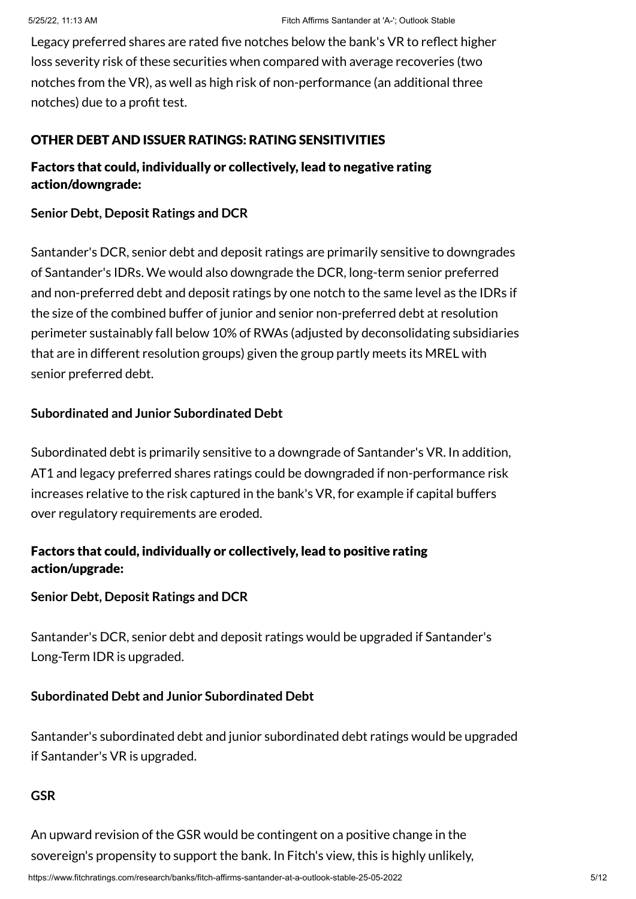Legacy preferred shares are rated five notches below the bank's VR to reflect higher loss severity risk of these securities when compared with average recoveries (two notches from the VR), as well as high risk of non-performance (an additional three notches) due to a profit test.

# OTHER DEBT AND ISSUER RATINGS: RATING SENSITIVITIES

# Factors that could, individually or collectively, lead to negative rating action/downgrade:

### **Senior Debt, Deposit Ratings and DCR**

Santander's DCR, senior debt and deposit ratings are primarily sensitive to downgrades of Santander's IDRs. We would also downgrade the DCR, long-term senior preferred and non-preferred debt and deposit ratings by one notch to the same level as the IDRs if the size of the combined buffer of junior and senior non-preferred debt at resolution perimeter sustainably fall below 10% of RWAs (adjusted by deconsolidating subsidiaries that are in different resolution groups) given the group partly meets its MREL with senior preferred debt.

### **Subordinated and Junior Subordinated Debt**

Subordinated debt is primarily sensitive to a downgrade of Santander's VR. In addition, AT1 and legacy preferred shares ratings could be downgraded if non-performance risk increases relative to the risk captured in the bank's VR, for example if capital buffers over regulatory requirements are eroded.

# Factors that could, individually or collectively, lead to positive rating action/upgrade:

#### **Senior Debt, Deposit Ratings and DCR**

Santander's DCR, senior debt and deposit ratings would be upgraded if Santander's Long-Term IDR is upgraded.

# **Subordinated Debt and Junior Subordinated Debt**

Santander's subordinated debt and junior subordinated debt ratings would be upgraded if Santander's VR is upgraded.

#### **GSR**

An upward revision of the GSR would be contingent on a positive change in the sovereign's propensity to support the bank. In Fitch's view, this is highly unlikely,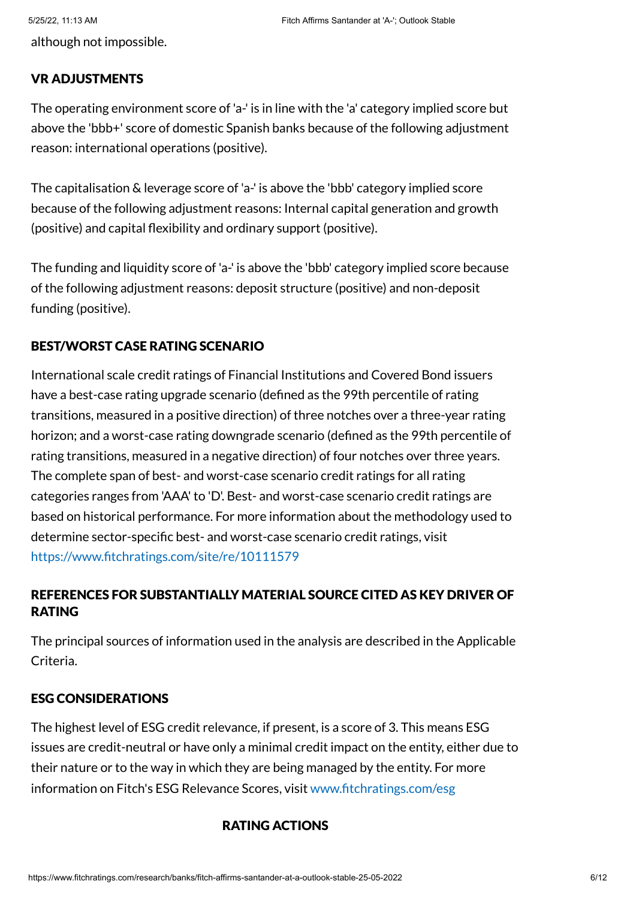although not impossible.

#### VR ADJUSTMENTS

The operating environment score of 'a-' is in line with the 'a' category implied score but above the 'bbb+' score of domestic Spanish banks because of the following adjustment reason: international operations (positive).

The capitalisation & leverage score of 'a-' is above the 'bbb' category implied score because of the following adjustment reasons: Internal capital generation and growth (positive) and capital flexibility and ordinary support (positive).

The funding and liquidity score of 'a-' is above the 'bbb' category implied score because of the following adjustment reasons: deposit structure (positive) and non-deposit funding (positive).

#### BEST/WORST CASE RATING SCENARIO

International scale credit ratings of Financial Institutions and Covered Bond issuers have a best-case rating upgrade scenario (defined as the 99th percentile of rating transitions, measured in a positive direction) of three notches over a three-year rating horizon; and a worst-case rating downgrade scenario (defined as the 99th percentile of rating transitions, measured in a negative direction) of four notches over three years. The complete span of best- and worst-case scenario credit ratings for all rating categories ranges from 'AAA' to 'D'. Best- and worst-case scenario credit ratings are based on historical performance. For more information about the methodology used to determine sector-specific best- and worst-case scenario credit ratings, visit <https://www.fitchratings.com/site/re/10111579>

# REFERENCES FOR SUBSTANTIALLY MATERIAL SOURCE CITED AS KEY DRIVER OF RATING

The principal sources of information used in the analysis are described in the Applicable Criteria.

#### ESG CONSIDERATIONS

The highest level of ESG credit relevance, if present, is a score of 3. This means ESG issues are credit-neutral or have only a minimal credit impact on the entity, either due to their nature or to the way in which they are being managed by the entity. For more information on Fitch's ESG Relevance Scores, visit [www.fitchratings.com/esg](http://www.fitchratings.com/esg)

#### RATING ACTIONS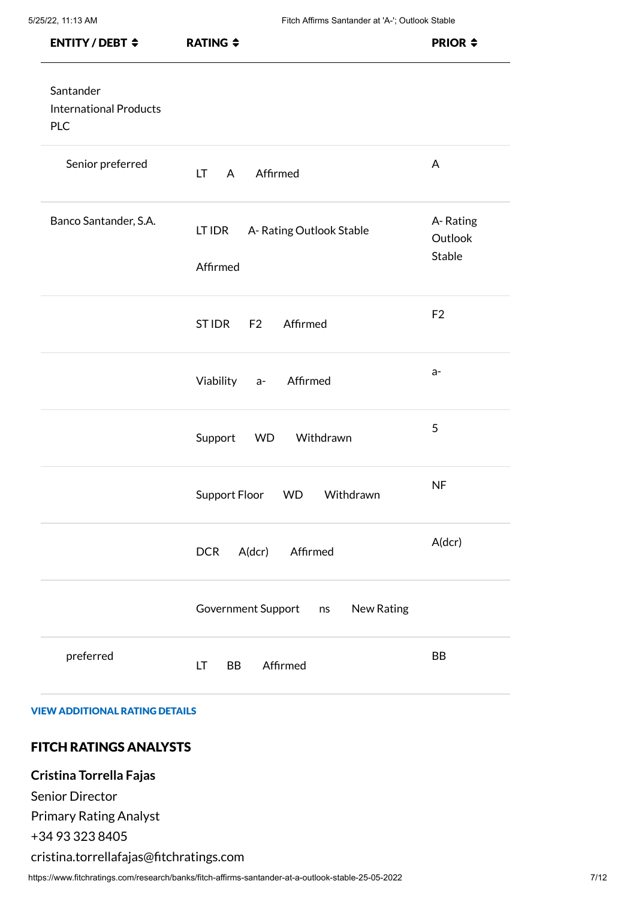| <b>ENTITY / DEBT <math>\div</math></b>                   | <b>RATING <math>\div</math></b>               | <b>PRIOR <math>\div</math></b> |
|----------------------------------------------------------|-----------------------------------------------|--------------------------------|
| Santander<br><b>International Products</b><br><b>PLC</b> |                                               |                                |
| Senior preferred                                         | A Affirmed<br>LT.                             | A                              |
| Banco Santander, S.A.                                    | LT IDR<br>A-Rating Outlook Stable<br>Affirmed | A-Rating<br>Outlook<br>Stable  |
|                                                          | Affirmed<br>F <sub>2</sub><br>ST IDR          | F <sub>2</sub>                 |
|                                                          | Affirmed<br>Viability a-                      | $a-$                           |
|                                                          | WD<br>Withdrawn<br>Support                    | 5                              |
|                                                          | Support Floor<br>Withdrawn<br><b>WD</b>       | <b>NF</b>                      |
|                                                          | A(dcr) Affirmed<br><b>DCR</b>                 | A(dcr)                         |
|                                                          | Government Support<br>New Rating<br>ns        |                                |
| preferred                                                | LT.<br>Affirmed<br><b>BB</b>                  | BB                             |

#### VIEW ADDITIONAL RATING DETAILS

# FITCH RATINGS ANALYSTS

### **Cristina Torrella Fajas**

Senior Director Primary Rating Analyst

+34 93 323 8405

cristina.torrellafajas@fitchratings.com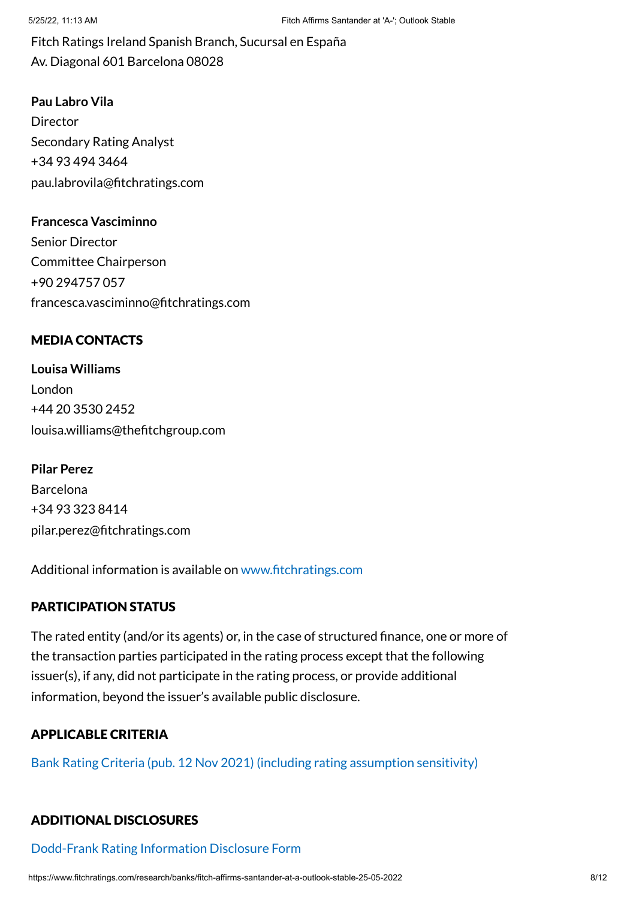Fitch Ratings Ireland Spanish Branch, Sucursal en España Av. Diagonal 601 Barcelona 08028

### **Pau Labro Vila**

Director Secondary Rating Analyst +34 93 494 3464 pau.labrovila@fitchratings.com

**Francesca Vasciminno** Senior Director Committee Chairperson +90 294757 057 francesca.vasciminno@fitchratings.com

# MEDIA CONTACTS

**Louisa Williams** London +44 20 3530 2452 louisa.williams@thefitchgroup.com

**Pilar Perez** Barcelona +34 93 323 8414 pilar.perez@fitchratings.com

Additional information is available on [www.fitchratings.com](http://www.fitchratings.com/)

# PARTICIPATION STATUS

The rated entity (and/or its agents) or, in the case of structured finance, one or more of the transaction parties participated in the rating process except that the following issuer(s), if any, did not participate in the rating process, or provide additional information, beyond the issuer's available public disclosure.

# APPLICABLE CRITERIA

Bank Rating Criteria (pub. 12 Nov 2021) (including rating [assumption](https://www.fitchratings.com/research/banks/bank-rating-criteria-12-11-2021) sensitivity)

# ADDITIONAL DISCLOSURES

[Dodd-Frank](https://www.fitchratings.com/research/banks/fitch-affirms-santander-at-a-outlook-stable-25-05-2022/dodd-frank-disclosure) Rating Information Disclosure Form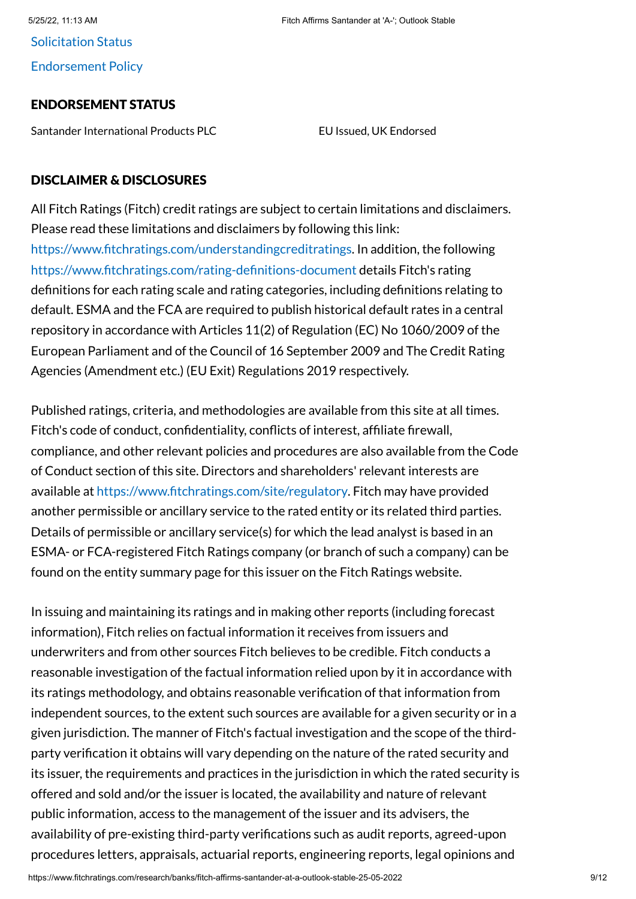# ENDORSEMENT STATUS

Santander International Products PLC Fig. 5. Full same EU Issued, UK Endorsed

#### DISCLAIMER & DISCLOSURES

All Fitch Ratings (Fitch) credit ratings are subject to certain limitations and disclaimers. Please read these limitations and disclaimers by following this link: [https://www.fitchratings.com/understandingcreditratings](https://www.fitchratings.com/UNDERSTANDINGCREDITRATINGS). In addition, the following [https://www.fitchratings.com/rating-definitions-document](https://www.fitchratings.com/RATING-DEFINITIONS-DOCUMENT) details Fitch's rating definitions for each rating scale and rating categories, including definitions relating to default. ESMA and the FCA are required to publish historical default rates in a central repository in accordance with Articles 11(2) of Regulation (EC) No 1060/2009 of the European Parliament and of the Council of 16 September 2009 and The Credit Rating Agencies (Amendment etc.) (EU Exit) Regulations 2019 respectively.

Published ratings, criteria, and methodologies are available from this site at all times. Fitch's code of conduct, confidentiality, conflicts of interest, affiliate firewall, compliance, and other relevant policies and procedures are also available from the Code of Conduct section of this site. Directors and shareholders' relevant interests are available at [https://www.fitchratings.com/site/regulatory](https://www.fitchratings.com/SITE/REGULATORY). Fitch may have provided another permissible or ancillary service to the rated entity or its related third parties. Details of permissible or ancillary service(s) for which the lead analyst is based in an ESMA- or FCA-registered Fitch Ratings company (or branch of such a company) can be found on the entity summary page for this issuer on the Fitch Ratings website.

In issuing and maintaining its ratings and in making other reports (including forecast information), Fitch relies on factual information it receives from issuers and underwriters and from other sources Fitch believes to be credible. Fitch conducts a reasonable investigation of the factual information relied upon by it in accordance with its ratings methodology, and obtains reasonable verification of that information from independent sources, to the extent such sources are available for a given security or in a given jurisdiction. The manner of Fitch's factual investigation and the scope of the thirdparty verification it obtains will vary depending on the nature of the rated security and its issuer, the requirements and practices in the jurisdiction in which the rated security is offered and sold and/or the issuer is located, the availability and nature of relevant public information, access to the management of the issuer and its advisers, the availability of pre-existing third-party verifications such as audit reports, agreed-upon procedures letters, appraisals, actuarial reports, engineering reports, legal opinions and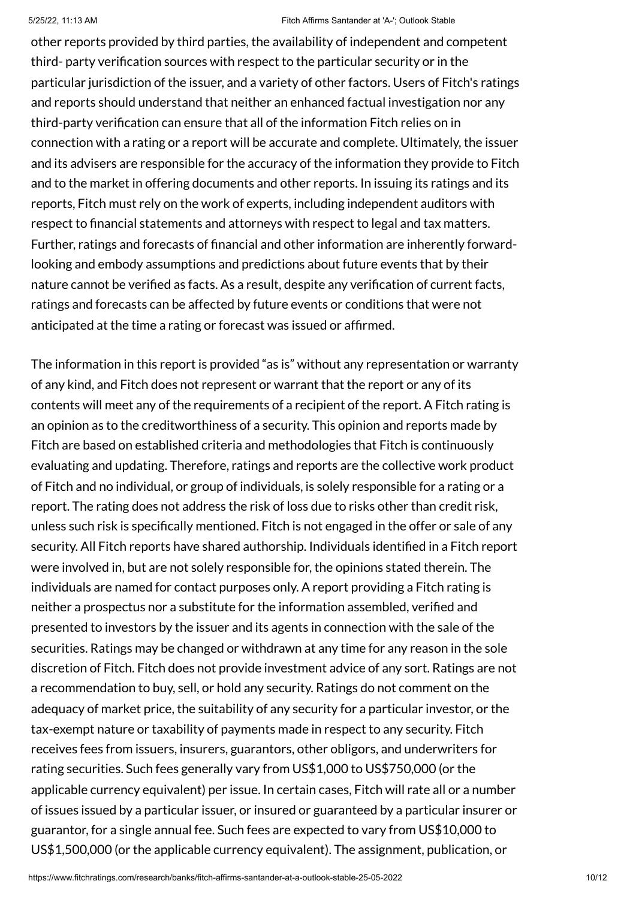other reports provided by third parties, the availability of independent and competent third- party verification sources with respect to the particular security or in the particular jurisdiction of the issuer, and a variety of other factors. Users of Fitch's ratings and reports should understand that neither an enhanced factual investigation nor any third-party verification can ensure that all of the information Fitch relies on in connection with a rating or a report will be accurate and complete. Ultimately, the issuer and its advisers are responsible for the accuracy of the information they provide to Fitch and to the market in offering documents and other reports. In issuing its ratings and its reports, Fitch must rely on the work of experts, including independent auditors with respect to financial statements and attorneys with respect to legal and tax matters. Further, ratings and forecasts of financial and other information are inherently forwardlooking and embody assumptions and predictions about future events that by their nature cannot be verified as facts. As a result, despite any verification of current facts, ratings and forecasts can be affected by future events or conditions that were not anticipated at the time a rating or forecast was issued or affirmed.

The information in this report is provided "as is" without any representation or warranty of any kind, and Fitch does not represent or warrant that the report or any of its contents will meet any of the requirements of a recipient of the report. A Fitch rating is an opinion as to the creditworthiness of a security. This opinion and reports made by Fitch are based on established criteria and methodologies that Fitch is continuously evaluating and updating. Therefore, ratings and reports are the collective work product of Fitch and no individual, or group of individuals, is solely responsible for a rating or a report. The rating does not address the risk of loss due to risks other than credit risk, unless such risk is specifically mentioned. Fitch is not engaged in the offer or sale of any security. All Fitch reports have shared authorship. Individuals identified in a Fitch report were involved in, but are not solely responsible for, the opinions stated therein. The individuals are named for contact purposes only. A report providing a Fitch rating is neither a prospectus nor a substitute for the information assembled, verified and presented to investors by the issuer and its agents in connection with the sale of the securities. Ratings may be changed or withdrawn at any time for any reason in the sole discretion of Fitch. Fitch does not provide investment advice of any sort. Ratings are not a recommendation to buy, sell, or hold any security. Ratings do not comment on the adequacy of market price, the suitability of any security for a particular investor, or the tax-exempt nature or taxability of payments made in respect to any security. Fitch receives fees from issuers, insurers, guarantors, other obligors, and underwriters for rating securities. Such fees generally vary from US\$1,000 to US\$750,000 (or the applicable currency equivalent) per issue. In certain cases, Fitch will rate all or a number of issues issued by a particular issuer, or insured or guaranteed by a particular insurer or guarantor, for a single annual fee. Such fees are expected to vary from US\$10,000 to US\$1,500,000 (or the applicable currency equivalent). The assignment, publication, or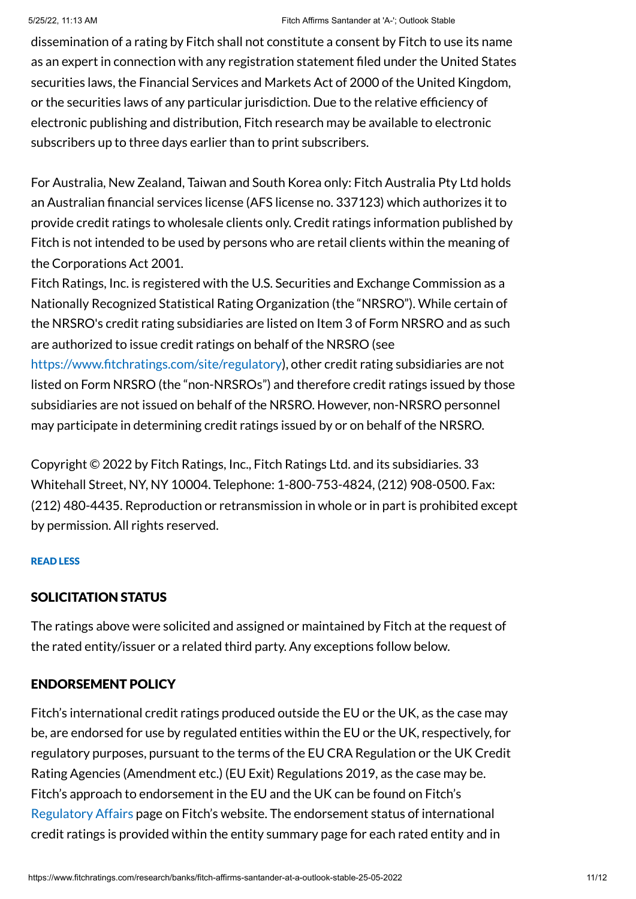#### 5/25/22, 11:13 AM Fitch Affirms Santander at 'A-'; Outlook Stable

dissemination of a rating by Fitch shall not constitute a consent by Fitch to use its name as an expert in connection with any registration statement filed under the United States securities laws, the Financial Services and Markets Act of 2000 of the United Kingdom, or the securities laws of any particular jurisdiction. Due to the relative efficiency of electronic publishing and distribution, Fitch research may be available to electronic subscribers up to three days earlier than to print subscribers.

For Australia, New Zealand, Taiwan and South Korea only: Fitch Australia Pty Ltd holds an Australian financial services license (AFS license no. 337123) which authorizes it to provide credit ratings to wholesale clients only. Credit ratings information published by Fitch is not intended to be used by persons who are retail clients within the meaning of the Corporations Act 2001.

Fitch Ratings, Inc. is registered with the U.S. Securities and Exchange Commission as a Nationally Recognized Statistical Rating Organization (the "NRSRO"). While certain of the NRSRO's credit rating subsidiaries are listed on Item 3 of Form NRSRO and as such are authorized to issue credit ratings on behalf of the NRSRO (see <https://www.fitchratings.com/site/regulatory>), other credit rating subsidiaries are not listed on Form NRSRO (the "non-NRSROs") and therefore credit ratings issued by those subsidiaries are not issued on behalf of the NRSRO. However, non-NRSRO personnel may participate in determining credit ratings issued by or on behalf of the NRSRO.

Copyright © 2022 by Fitch Ratings, Inc., Fitch Ratings Ltd. and its subsidiaries. 33 Whitehall Street, NY, NY 10004. Telephone: 1-800-753-4824, (212) 908-0500. Fax: (212) 480-4435. Reproduction or retransmission in whole or in part is prohibited except by permission. All rights reserved.

#### READ LESS

#### SOLICITATION STATUS

The ratings above were solicited and assigned or maintained by Fitch at the request of the rated entity/issuer or a related third party. Any exceptions follow below.

#### <span id="page-10-0"></span>ENDORSEMENT POLICY

Fitch's international credit ratings produced outside the EU or the UK, as the case may be, are endorsed for use by regulated entities within the EU or the UK, respectively, for regulatory purposes, pursuant to the terms of the EU CRA Regulation or the UK Credit Rating Agencies (Amendment etc.) (EU Exit) Regulations 2019, as the case may be. Fitch's approach to endorsement in the EU and the UK can be found on Fitch's [Regulatory](https://www.fitchratings.com/regulatory) Affairs page on Fitch's website. The endorsement status of international credit ratings is provided within the entity summary page for each rated entity and in